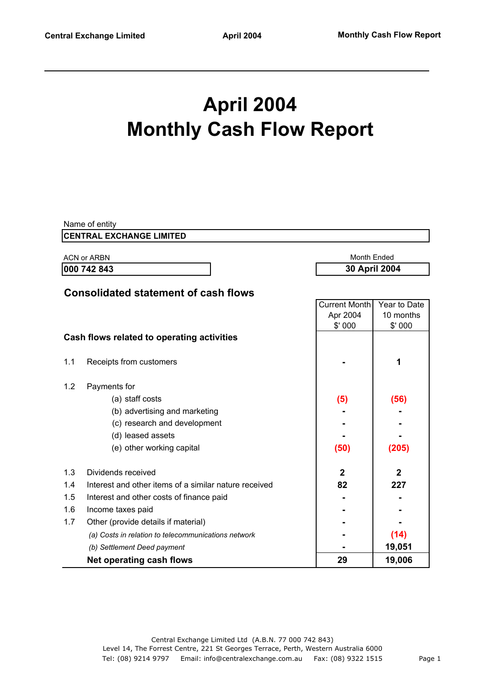# **April 2004 Monthly Cash Flow Report**

|                              | Name of entity                                        |                      |                |
|------------------------------|-------------------------------------------------------|----------------------|----------------|
|                              | <b>CENTRAL EXCHANGE LIMITED</b>                       |                      |                |
|                              | <b>ACN or ARBN</b>                                    | <b>Month Ended</b>   |                |
| 000 742 843<br>30 April 2004 |                                                       |                      |                |
|                              |                                                       |                      |                |
|                              | <b>Consolidated statement of cash flows</b>           |                      |                |
|                              |                                                       | <b>Current Month</b> | Year to Date   |
|                              |                                                       | Apr 2004             | 10 months      |
|                              |                                                       | \$' 000              | \$'000         |
|                              | Cash flows related to operating activities            |                      |                |
|                              |                                                       |                      |                |
| 1.1                          | Receipts from customers                               |                      | 1              |
|                              |                                                       |                      |                |
| 1.2                          | Payments for                                          |                      |                |
|                              | (a) staff costs                                       | (5)                  | (56)           |
|                              | (b) advertising and marketing                         |                      |                |
|                              | (c) research and development                          |                      |                |
|                              | (d) leased assets                                     |                      |                |
|                              | (e) other working capital                             | (50)                 | (205)          |
| 1.3                          | Dividends received                                    | $\mathbf{2}$         | $\overline{2}$ |
| 1.4                          | Interest and other items of a similar nature received | 82                   | 227            |
| 1.5                          | Interest and other costs of finance paid              |                      |                |
| 1.6                          | Income taxes paid                                     |                      |                |
| 1.7                          | Other (provide details if material)                   |                      |                |
|                              | (a) Costs in relation to telecommunications network   |                      | (14)           |
|                              | (b) Settlement Deed payment                           |                      | 19,051         |
|                              | <b>Net operating cash flows</b>                       | 29                   | 19,006         |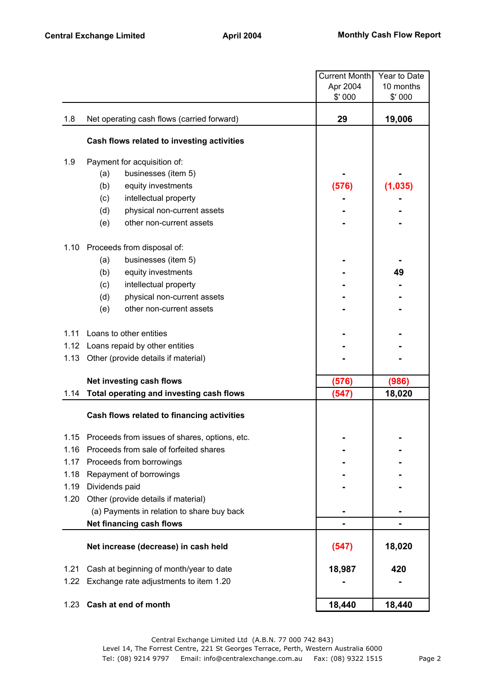|      |                                               | <b>Current Month</b> | Year to Date |
|------|-----------------------------------------------|----------------------|--------------|
|      |                                               | Apr 2004             | 10 months    |
|      |                                               | \$' 000              | \$'000       |
| 1.8  | Net operating cash flows (carried forward)    | 29                   | 19,006       |
|      | Cash flows related to investing activities    |                      |              |
| 1.9  | Payment for acquisition of:                   |                      |              |
|      | businesses (item 5)<br>(a)                    |                      |              |
|      | (b)<br>equity investments                     | (576)                | (1,035)      |
|      | (c)<br>intellectual property                  |                      |              |
|      | (d)<br>physical non-current assets            |                      |              |
|      | (e)<br>other non-current assets               |                      |              |
| 1.10 | Proceeds from disposal of:                    |                      |              |
|      | (a)<br>businesses (item 5)                    |                      |              |
|      | (b)<br>equity investments                     |                      | 49           |
|      | (c)<br>intellectual property                  |                      |              |
|      | (d)<br>physical non-current assets            |                      |              |
|      | (e)<br>other non-current assets               |                      |              |
| 1.11 | Loans to other entities                       |                      |              |
|      | 1.12 Loans repaid by other entities           |                      |              |
| 1.13 | Other (provide details if material)           |                      |              |
|      | Net investing cash flows                      | (576)                | (986)        |
| 1.14 | Total operating and investing cash flows      | (547)                | 18,020       |
|      | Cash flows related to financing activities    |                      |              |
| 1.15 | Proceeds from issues of shares, options, etc. |                      |              |
| 1.16 | Proceeds from sale of forfeited shares        |                      |              |
| 1.17 | Proceeds from borrowings                      |                      |              |
| 1.18 | Repayment of borrowings                       |                      |              |
| 1.19 | Dividends paid                                |                      |              |
| 1.20 | Other (provide details if material)           |                      |              |
|      | (a) Payments in relation to share buy back    |                      |              |
|      | Net financing cash flows                      |                      |              |
|      | Net increase (decrease) in cash held          | (547)                | 18,020       |
| 1.21 | Cash at beginning of month/year to date       | 18,987               | 420          |
| 1.22 | Exchange rate adjustments to item 1.20        |                      |              |
| 1.23 | Cash at end of month                          | 18,440               | 18,440       |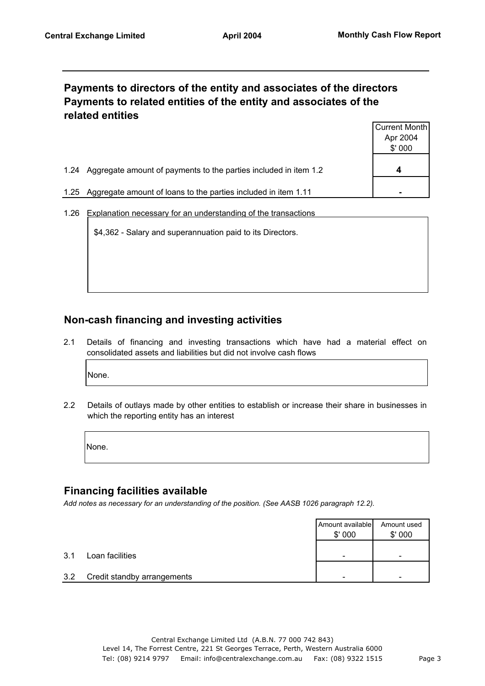# **Payments to directors of the entity and associates of the directors Payments to related entities of the entity and associates of the related entities**

| Apr 2004<br>\$'000                                                                       |      |                                                                  | Current Month |
|------------------------------------------------------------------------------------------|------|------------------------------------------------------------------|---------------|
|                                                                                          |      |                                                                  |               |
|                                                                                          |      |                                                                  |               |
|                                                                                          |      |                                                                  |               |
|                                                                                          | 1.24 | Aggregate amount of payments to the parties included in item 1.2 | 4             |
|                                                                                          |      |                                                                  |               |
| Aggregate amount of loans to the parties included in item 1.11<br>1.25<br>$\blacksquare$ |      |                                                                  |               |

1.26 Explanation necessary for an understanding of the transactions

\$4,362 - Salary and superannuation paid to its Directors.

# **Non-cash financing and investing activities**

2.1 Details of financing and investing transactions which have had a material effect on consolidated assets and liabilities but did not involve cash flows

None.

2.2 Details of outlays made by other entities to establish or increase their share in businesses in which the reporting entity has an interest

None.

#### **Financing facilities available**

*Add notes as necessary for an understanding of the position. (See AASB 1026 paragraph 12.2).*

|     |                             | Amount available<br>\$'000 | Amount used<br>\$'000 |
|-----|-----------------------------|----------------------------|-----------------------|
| 3.1 | Loan facilities             | -                          | -                     |
| 3.2 | Credit standby arrangements | -                          | -                     |